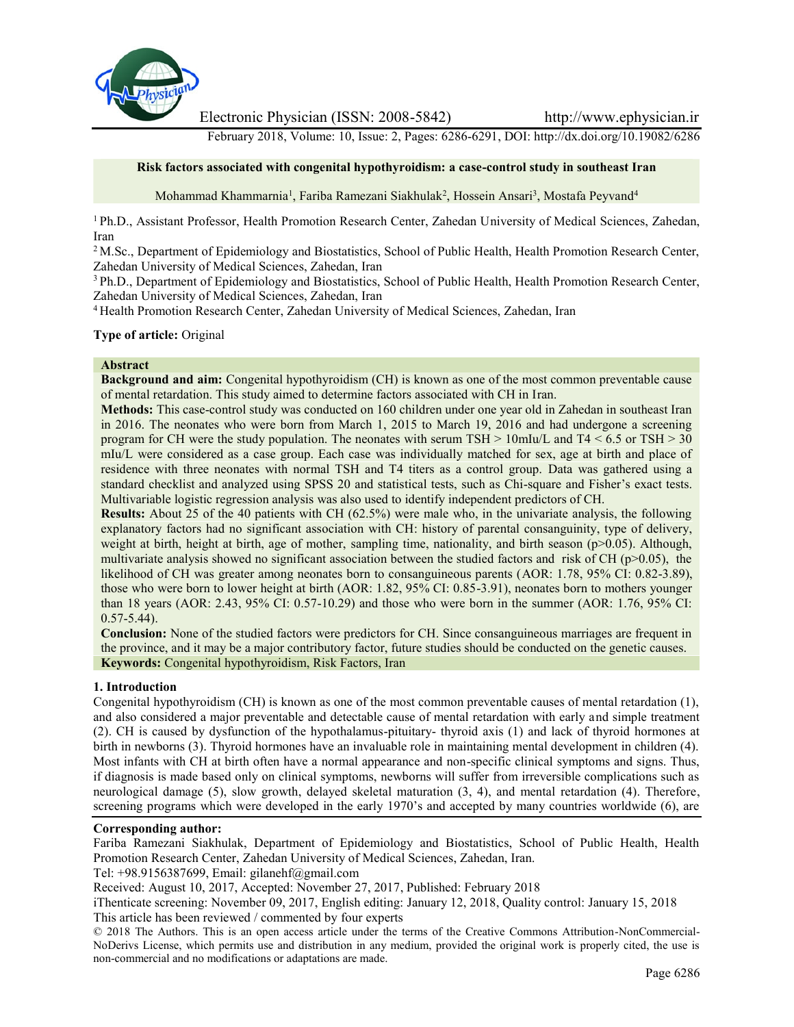

Electronic Physician (ISSN: 2008-5842) http://www.ephysician.ir

February 2018, Volume: 10, Issue: 2, Pages: 6286-6291, DOI: http://dx.doi.org/10.19082/6286

## **Risk factors associated with congenital hypothyroidism: a case-control study in southeast Iran**

Mohammad Khammarnia<sup>1</sup>, Fariba Ramezani Siakhulak<sup>2</sup>, Hossein Ansari<sup>3</sup>, Mostafa Peyvand<sup>4</sup>

<sup>1</sup> Ph.D., Assistant Professor, Health Promotion Research Center, Zahedan University of Medical Sciences, Zahedan, Iran

<sup>2</sup> M.Sc., Department of Epidemiology and Biostatistics, School of Public Health, Health Promotion Research Center, Zahedan University of Medical Sciences, Zahedan, Iran

<sup>3</sup> Ph.D., Department of Epidemiology and Biostatistics, School of Public Health, Health Promotion Research Center, Zahedan University of Medical Sciences, Zahedan, Iran

<sup>4</sup> Health Promotion Research Center, Zahedan University of Medical Sciences, Zahedan, Iran

**Type of article:** Original

#### **Abstract**

**Background and aim:** Congenital hypothyroidism (CH) is known as one of the most common preventable cause of mental retardation. This study aimed to determine factors associated with CH in Iran.

**Methods:** This case-control study was conducted on 160 children under one year old in Zahedan in southeast Iran in 2016. The neonates who were born from March 1, 2015 to March 19, 2016 and had undergone a screening program for CH were the study population. The neonates with serum TSH > 10mIu/L and T4 < 6.5 or TSH > 30 mIu/L were considered as a case group. Each case was individually matched for sex, age at birth and place of residence with three neonates with normal TSH and T4 titers as a control group. Data was gathered using a standard checklist and analyzed using SPSS 20 and statistical tests, such as Chi-square and Fisher's exact tests. Multivariable logistic regression analysis was also used to identify independent predictors of CH.

**Results:** About 25 of the 40 patients with CH (62.5%) were male who, in the univariate analysis, the following explanatory factors had no significant association with CH: history of parental consanguinity, type of delivery, weight at birth, height at birth, age of mother, sampling time, nationality, and birth season ( $p>0.05$ ). Although, multivariate analysis showed no significant association between the studied factors and risk of CH ( $p$  $> 0.05$ ), the likelihood of CH was greater among neonates born to consanguineous parents (AOR: 1.78, 95% CI: 0.82-3.89), those who were born to lower height at birth (AOR: 1.82, 95% CI: 0.85-3.91), neonates born to mothers younger than 18 years (AOR: 2.43, 95% CI: 0.57-10.29) and those who were born in the summer (AOR: 1.76, 95% CI:  $0.57 - 5.44$ ).

**Conclusion:** None of the studied factors were predictors for CH. Since consanguineous marriages are frequent in the province, and it may be a major contributory factor, future studies should be conducted on the genetic causes. **Keywords:** Congenital hypothyroidism, Risk Factors, Iran

#### **1. Introduction**

Congenital hypothyroidism (CH) is known as one of the most common preventable causes of mental retardation (1), and also considered a major preventable and detectable cause of mental retardation with early and simple treatment (2). CH is caused by dysfunction of the hypothalamus-pituitary- thyroid axis (1) and lack of thyroid hormones at birth in newborns (3). Thyroid hormones have an invaluable role in maintaining mental development in children (4). Most infants with CH at birth often have a normal appearance and non-specific clinical symptoms and signs. Thus, if diagnosis is made based only on clinical symptoms, newborns will suffer from irreversible complications such as neurological damage (5), slow growth, delayed skeletal maturation (3, 4), and mental retardation (4). Therefore, screening programs which were developed in the early 1970's and accepted by many countries worldwide (6), are

#### **Corresponding author:**

Fariba Ramezani Siakhulak, Department of Epidemiology and Biostatistics, School of Public Health, Health Promotion Research Center, Zahedan University of Medical Sciences, Zahedan, Iran.

Tel: +98.9156387699, Email: gilanehf@gmail.com

Received: August 10, 2017, Accepted: November 27, 2017, Published: February 2018

iThenticate screening: November 09, 2017, English editing: January 12, 2018, Quality control: January 15, 2018 This article has been reviewed / commented by four experts

© 2018 The Authors. This is an open access article under the terms of the Creative Commons Attribution-NonCommercial- NoDerivs License, which permits use and distribution in any medium, provided the original work is properly cited, the use is non-commercial and no modifications or adaptations are made.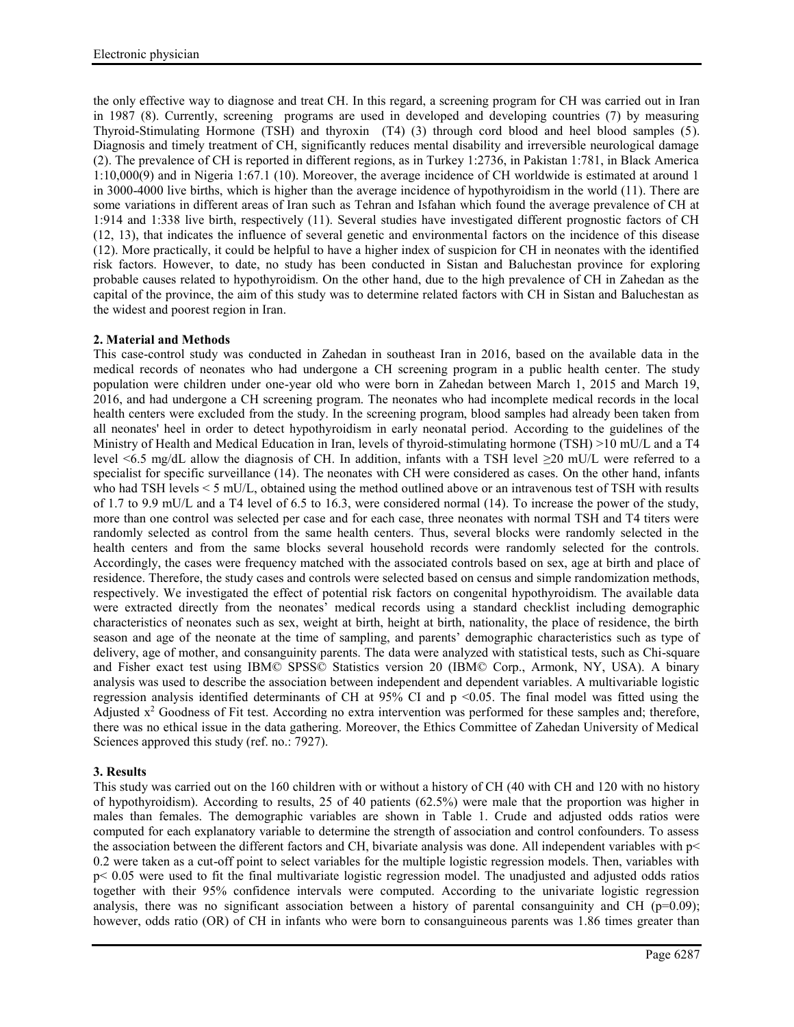the only effective way to diagnose and treat CH. In this regard, a screening program for CH was carried out in Iran in 1987 (8). Currently, screening programs are used in developed and developing countries (7) by measuring Thyroid-Stimulating Hormone (TSH) and thyroxin (T4) (3) through cord blood and heel blood samples (5). Diagnosis and timely treatment of CH, significantly reduces mental disability and irreversible neurological damage (2). The prevalence of CH is reported in different regions, as in Turkey 1:2736, in Pakistan 1:781, in Black America 1:10,000(9) and in Nigeria 1:67.1 (10). Moreover, the average incidence of CH worldwide is estimated at around 1 in 3000-4000 live births, which is higher than the average incidence of hypothyroidism in the world (11). There are some variations in different areas of Iran such as Tehran and Isfahan which found the average prevalence of CH at 1:914 and 1:338 live birth, respectively (11). Several studies have investigated different prognostic factors of CH (12, 13), that indicates the influence of several genetic and environmental factors on the incidence of this disease (12). More practically, it could be helpful to have a higher index of suspicion for CH in neonates with the identified risk factors. However, to date, no study has been conducted in Sistan and Baluchestan province for exploring probable causes related to hypothyroidism. On the other hand, due to the high prevalence of CH in Zahedan as the capital of the province, the aim of this study was to determine related factors with CH in Sistan and Baluchestan as the widest and poorest region in Iran.

# **2. Material and Methods**

This case-control study was conducted in Zahedan in southeast Iran in 2016, based on the available data in the medical records of neonates who had undergone a CH screening program in a public health center. The study population were children under one-year old who were born in Zahedan between March 1, 2015 and March 19, 2016, and had undergone a CH screening program. The neonates who had incomplete medical records in the local health centers were excluded from the study. In the screening program, blood samples had already been taken from all neonates' heel in order to detect hypothyroidism in early neonatal period. According to the guidelines of the Ministry of Health and Medical Education in Iran, levels of thyroid-stimulating hormone (TSH) >10 mU/L and a T4 level <6.5 mg/dL allow the diagnosis of CH. In addition, infants with a TSH level ≥20 mU/L were referred to a specialist for specific surveillance (14). The neonates with CH were considered as cases. On the other hand, infants who had TSH levels < 5 mU/L, obtained using the method outlined above or an intravenous test of TSH with results of 1.7 to 9.9 mU/L and a T4 level of 6.5 to 16.3, were considered normal (14). To increase the power of the study, more than one control was selected per case and for each case, three neonates with normal TSH and T4 titers were randomly selected as control from the same health centers. Thus, several blocks were randomly selected in the health centers and from the same blocks several household records were randomly selected for the controls. Accordingly, the cases were frequency matched with the associated controls based on sex, age at birth and place of residence. Therefore, the study cases and controls were selected based on census and simple randomization methods, respectively. We investigated the effect of potential risk factors on congenital hypothyroidism. The available data were extracted directly from the neonates' medical records using a standard checklist including demographic characteristics of neonates such as sex, weight at birth, height at birth, nationality, the place of residence, the birth season and age of the neonate at the time of sampling, and parents' demographic characteristics such as type of delivery, age of mother, and consanguinity parents. The data were analyzed with statistical tests, such as Chi-square and Fisher exact test using IBM© SPSS© Statistics version 20 (IBM© Corp., Armonk, NY, USA). A binary analysis was used to describe the association between independent and dependent variables. A multivariable logistic regression analysis identified determinants of CH at 95% CI and p <0.05. The final model was fitted using the Adjusted  $x^2$  Goodness of Fit test. According no extra intervention was performed for these samples and; therefore, there was no ethical issue in the data gathering. Moreover, the Ethics Committee of Zahedan University of Medical Sciences approved this study (ref. no.: 7927).

## **3. Results**

This study was carried out on the 160 children with or without a history of CH (40 with CH and 120 with no history of hypothyroidism). According to results, 25 of 40 patients (62.5%) were male that the proportion was higher in males than females. The demographic variables are shown in Table 1. Crude and adjusted odds ratios were computed for each explanatory variable to determine the strength of association and control confounders. To assess the association between the different factors and CH, bivariate analysis was done. All independent variables with p< 0.2 were taken as a cut-off point to select variables for the multiple logistic regression models. Then, variables with p< 0.05 were used to fit the final multivariate logistic regression model. The unadjusted and adjusted odds ratios together with their 95% confidence intervals were computed. According to the univariate logistic regression analysis, there was no significant association between a history of parental consanguinity and CH ( $p=0.09$ ); however, odds ratio (OR) of CH in infants who were born to consanguineous parents was 1.86 times greater than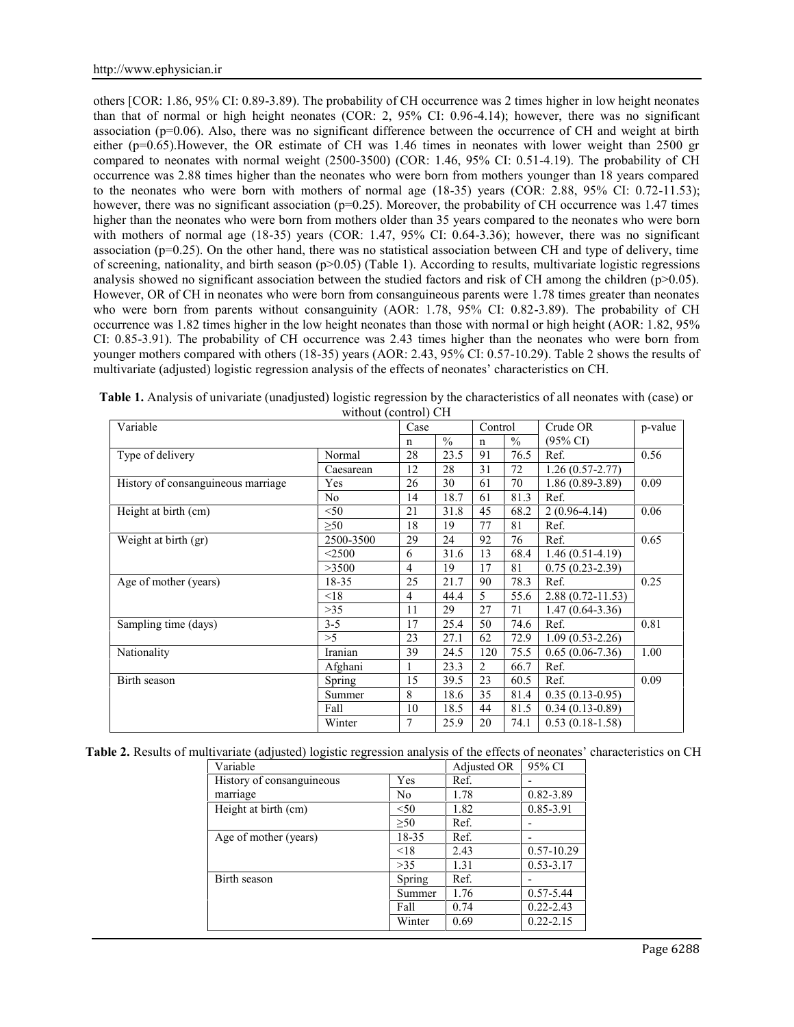others [COR: 1.86, 95% CI: 0.89-3.89). The probability of CH occurrence was 2 times higher in low height neonates than that of normal or high height neonates (COR: 2, 95% CI: 0.96-4.14); however, there was no significant association (p=0.06). Also, there was no significant difference between the occurrence of CH and weight at birth either (p=0.65).However, the OR estimate of CH was 1.46 times in neonates with lower weight than 2500 gr compared to neonates with normal weight (2500-3500) (COR: 1.46, 95% CI: 0.51-4.19). The probability of CH occurrence was 2.88 times higher than the neonates who were born from mothers younger than 18 years compared to the neonates who were born with mothers of normal age (18-35) years (COR: 2.88, 95% CI: 0.72-11.53); however, there was no significant association ( $p=0.25$ ). Moreover, the probability of CH occurrence was 1.47 times higher than the neonates who were born from mothers older than 35 years compared to the neonates who were born with mothers of normal age (18-35) years (COR: 1.47, 95% CI: 0.64-3.36); however, there was no significant association (p=0.25). On the other hand, there was no statistical association between CH and type of delivery, time of screening, nationality, and birth season  $(p>0.05)$  (Table 1). According to results, multivariate logistic regressions analysis showed no significant association between the studied factors and risk of CH among the children ( $p>0.05$ ). However, OR of CH in neonates who were born from consanguineous parents were 1.78 times greater than neonates who were born from parents without consanguinity (AOR: 1.78, 95% CI: 0.82-3.89). The probability of CH occurrence was 1.82 times higher in the low height neonates than those with normal or high height (AOR: 1.82, 95% CI: 0.85-3.91). The probability of CH occurrence was 2.43 times higher than the neonates who were born from younger mothers compared with others (18-35) years (AOR: 2.43, 95% CI: 0.57-10.29). Table 2 shows the results of multivariate (adjusted) logistic regression analysis of the effects of neonates' characteristics on CH.

| Variable                           |               | Case |               | Control |               | Crude OR             | p-value |  |
|------------------------------------|---------------|------|---------------|---------|---------------|----------------------|---------|--|
|                                    |               | n    | $\frac{0}{0}$ | n       | $\frac{0}{0}$ | $(95\% \text{ CI})$  |         |  |
| Type of delivery                   | Normal        | 28   | 23.5          | 91      | 76.5          | Ref.                 | 0.56    |  |
|                                    | Caesarean     | 12   | 28            | 31      | 72            | $1.26(0.57-2.77)$    |         |  |
| History of consanguineous marriage | Yes           | 26   | 30            | 61      | 70            | $1.86(0.89-3.89)$    | 0.09    |  |
|                                    | No.           | 14   | 18.7          | 61      | 81.3          | Ref.                 |         |  |
| Height at birth (cm)               | < 50          | 21   | 31.8          | 45      | 68.2          | $2(0.96-4.14)$       | 0.06    |  |
|                                    | >50           | 18   | 19            | 77      | 81            | Ref.                 |         |  |
| Weight at birth (gr)               | 2500-3500     | 29   | 24            | 92      | 76            | Ref.                 | 0.65    |  |
|                                    | $<$ 2500      | 6    | 31.6          | 13      | 68.4          | $1.46(0.51-4.19)$    |         |  |
|                                    | >3500         | 4    | 19            | 17      | 81            | $0.75(0.23-2.39)$    |         |  |
| Age of mother (years)              | 18-35         | 25   | 21.7          | 90      | 78.3          | Ref.                 | 0.25    |  |
|                                    | < 18          | 4    | 44.4          | 5       | 55.6          | $2.88(0.72 - 11.53)$ |         |  |
|                                    | >35           | 11   | 29            | 27      | 71            | $1.47(0.64 - 3.36)$  |         |  |
| Sampling time (days)               | $3 - 5$       | 17   | 25.4          | 50      | 74.6          | Ref.                 | 0.81    |  |
|                                    | >5            | 23   | 27.1          | 62      | 72.9          | $1.09(0.53 - 2.26)$  |         |  |
| Nationality                        | Iranian       | 39   | 24.5          | 120     | 75.5          | $0.65(0.06-7.36)$    | 1.00    |  |
|                                    | Afghani       |      | 23.3          | 2       | 66.7          | Ref.                 |         |  |
| Birth season                       | <b>Spring</b> | 15   | 39.5          | 23      | 60.5          | Ref.                 | 0.09    |  |
|                                    | Summer        | 8    | 18.6          | 35      | 81.4          | $0.35(0.13-0.95)$    |         |  |
|                                    | Fall          | 10   | 18.5          | 44      | 81.5          | $0.34(0.13-0.89)$    |         |  |
|                                    | Winter        | 7    | 25.9          | 20      | 74.1          | $0.53(0.18-1.58)$    |         |  |

**Table 1.** Analysis of univariate (unadjusted) logistic regression by the characteristics of all neonates with (case) or without (control) CH

|  | Table 2. Results of multivariate (adjusted) logistic regression analysis of the effects of neonates' characteristics on CH |
|--|----------------------------------------------------------------------------------------------------------------------------|
|--|----------------------------------------------------------------------------------------------------------------------------|

| Variable                  |           | Adjusted OR | 95% CI         |
|---------------------------|-----------|-------------|----------------|
| History of consanguineous | Yes       | Ref.        | -              |
| marriage                  | No        | 1.78        | $0.82 - 3.89$  |
| Height at birth (cm)      | < 50      | 1.82        | 0.85-3.91      |
|                           | $\geq 50$ | Ref.        |                |
| Age of mother (years)     | 18-35     | Ref.        |                |
|                           | < 18      | 2.43        | $0.57 - 10.29$ |
|                           | >35       | 1.31        | $0.53 - 3.17$  |
| Birth season              | Spring    | Ref.        |                |
|                           | Summer    | 1.76        | $0.57 - 5.44$  |
|                           | Fall      | 0.74        | $0.22 - 2.43$  |
|                           | Winter    | 0.69        | $0.22 - 2.15$  |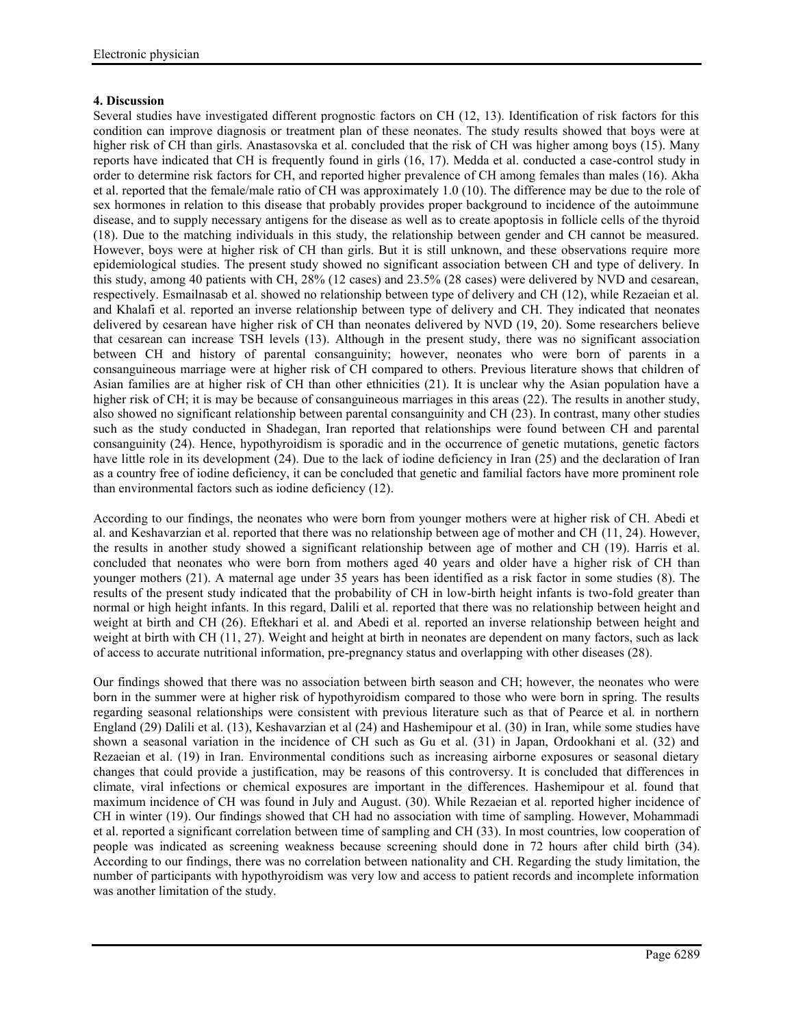## **4. Discussion**

Several studies have investigated different prognostic factors on CH (12, 13). Identification of risk factors for this condition can improve diagnosis or treatment plan of these neonates. The study results showed that boys were at higher risk of CH than girls. Anastasovska et al. concluded that the risk of CH was higher among boys (15). Many reports have indicated that CH is frequently found in girls (16, 17). Medda et al. conducted a case-control study in order to determine risk factors for CH, and reported higher prevalence of CH among females than males (16). Akha et al. reported that the female/male ratio of CH was approximately 1.0 (10). The difference may be due to the role of sex hormones in relation to this disease that probably provides proper background to incidence of the autoimmune disease, and to supply necessary antigens for the disease as well as to create apoptosis in follicle cells of the thyroid (18). Due to the matching individuals in this study, the relationship between gender and CH cannot be measured. However, boys were at higher risk of CH than girls. But it is still unknown, and these observations require more epidemiological studies. The present study showed no significant association between CH and type of delivery. In this study, among 40 patients with CH, 28% (12 cases) and 23.5% (28 cases) were delivered by NVD and cesarean, respectively. Esmailnasab et al. showed no relationship between type of delivery and CH (12), while Rezaeian et al. and Khalafi et al. reported an inverse relationship between type of delivery and CH. They indicated that neonates delivered by cesarean have higher risk of CH than neonates delivered by NVD (19, 20). Some researchers believe that cesarean can increase TSH levels (13). Although in the present study, there was no significant association between CH and history of parental consanguinity; however, neonates who were born of parents in a consanguineous marriage were at higher risk of CH compared to others. Previous literature shows that children of Asian families are at higher risk of CH than other ethnicities (21). It is unclear why the Asian population have a higher risk of CH; it is may be because of consanguineous marriages in this areas (22). The results in another study, also showed no significant relationship between parental consanguinity and CH (23). In contrast, many other studies such as the study conducted in Shadegan, Iran reported that relationships were found between CH and parental consanguinity (24). Hence, hypothyroidism is sporadic and in the occurrence of genetic mutations, genetic factors have little role in its development (24). Due to the lack of iodine deficiency in Iran (25) and the declaration of Iran as a country free of iodine deficiency, it can be concluded that genetic and familial factors have more prominent role than environmental factors such as iodine deficiency (12).

According to our findings, the neonates who were born from younger mothers were at higher risk of CH. Abedi et al. and Keshavarzian et al. reported that there was no relationship between age of mother and CH (11, 24). However, the results in another study showed a significant relationship between age of mother and CH (19). Harris et al. concluded that neonates who were born from mothers aged 40 years and older have a higher risk of CH than younger mothers (21). A maternal age under 35 years has been identified as a risk factor in some studies (8). The results of the present study indicated that the probability of CH in low-birth height infants is two-fold greater than normal or high height infants. In this regard, Dalili et al. reported that there was no relationship between height and weight at birth and CH (26). Eftekhari et al. and Abedi et al. reported an inverse relationship between height and weight at birth with CH (11, 27). Weight and height at birth in neonates are dependent on many factors, such as lack of access to accurate nutritional information, pre-pregnancy status and overlapping with other diseases (28).

Our findings showed that there was no association between birth season and CH; however, the neonates who were born in the summer were at higher risk of hypothyroidism compared to those who were born in spring. The results regarding seasonal relationships were consistent with previous literature such as that of Pearce et al. in northern England (29) Dalili et al. (13), Keshavarzian et al (24) and Hashemipour et al. (30) in Iran, while some studies have shown a seasonal variation in the incidence of CH such as Gu et al. (31) in Japan, Ordookhani et al. (32) and Rezaeian et al. (19) in Iran. Environmental conditions such as increasing airborne exposures or seasonal dietary changes that could provide a justification, may be reasons of this controversy. It is concluded that differences in climate, viral infections or chemical exposures are important in the differences. Hashemipour et al. found that maximum incidence of CH was found in July and August. (30). While Rezaeian et al. reported higher incidence of CH in winter (19). Our findings showed that CH had no association with time of sampling. However, Mohammadi et al. reported a significant correlation between time of sampling and CH (33). In most countries, low cooperation of people was indicated as screening weakness because screening should done in 72 hours after child birth (34). According to our findings, there was no correlation between nationality and CH. Regarding the study limitation, the number of participants with hypothyroidism was very low and access to patient records and incomplete information was another limitation of the study.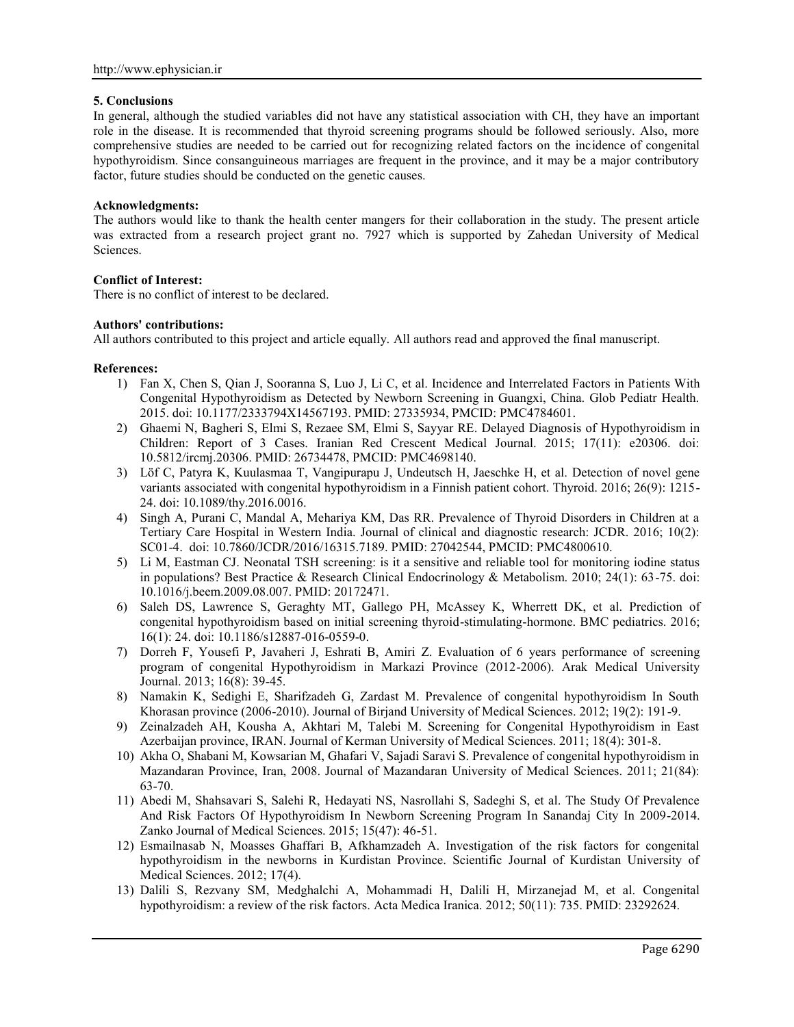### **5. Conclusions**

In general, although the studied variables did not have any statistical association with CH, they have an important role in the disease. It is recommended that thyroid screening programs should be followed seriously. Also, more comprehensive studies are needed to be carried out for recognizing related factors on the incidence of congenital hypothyroidism. Since consanguineous marriages are frequent in the province, and it may be a major contributory factor, future studies should be conducted on the genetic causes.

## **Acknowledgments:**

The authors would like to thank the health center mangers for their collaboration in the study. The present article was extracted from a research project grant no. 7927 which is supported by Zahedan University of Medical Sciences.

## **Conflict of Interest:**

There is no conflict of interest to be declared.

### **Authors' contributions:**

All authors contributed to this project and article equally. All authors read and approved the final manuscript.

### **References:**

- 1) Fan X, Chen S, Qian J, Sooranna S, Luo J, Li C, et al. Incidence and Interrelated Factors in Patients With Congenital Hypothyroidism as Detected by Newborn Screening in Guangxi, China. Glob Pediatr Health. 2015. doi: 10.1177/2333794X14567193. PMID: 27335934, PMCID: PMC4784601.
- 2) Ghaemi N, Bagheri S, Elmi S, Rezaee SM, Elmi S, Sayyar RE. Delayed Diagnosis of Hypothyroidism in Children: Report of 3 Cases. Iranian Red Crescent Medical Journal. 2015; 17(11): e20306. doi: 10.5812/ircmj.20306. PMID: 26734478, PMCID: PMC4698140.
- 3) Löf C, Patyra K, Kuulasmaa T, Vangipurapu J, Undeutsch H, Jaeschke H, et al. Detection of novel gene variants associated with congenital hypothyroidism in a Finnish patient cohort. Thyroid. 2016; 26(9): 1215- 24. doi: 10.1089/thy.2016.0016.
- 4) Singh A, Purani C, Mandal A, Mehariya KM, Das RR. Prevalence of Thyroid Disorders in Children at a Tertiary Care Hospital in Western India. Journal of clinical and diagnostic research: JCDR. 2016; 10(2): SC01-4. doi: 10.7860/JCDR/2016/16315.7189. PMID: 27042544, PMCID: PMC4800610.
- 5) Li M, Eastman CJ. Neonatal TSH screening: is it a sensitive and reliable tool for monitoring iodine status in populations? Best Practice & Research Clinical Endocrinology & Metabolism. 2010; 24(1): 63-75. doi: 10.1016/j.beem.2009.08.007. PMID: 20172471.
- 6) Saleh DS, Lawrence S, Geraghty MT, Gallego PH, McAssey K, Wherrett DK, et al. Prediction of congenital hypothyroidism based on initial screening thyroid-stimulating-hormone. BMC pediatrics. 2016; 16(1): 24. doi: 10.1186/s12887-016-0559-0.
- 7) Dorreh F, Yousefi P, Javaheri J, Eshrati B, Amiri Z. Evaluation of 6 years performance of screening program of congenital Hypothyroidism in Markazi Province (2012-2006). Arak Medical University Journal. 2013; 16(8): 39-45.
- 8) Namakin K, Sedighi E, Sharifzadeh G, Zardast M. Prevalence of congenital hypothyroidism In South Khorasan province (2006-2010). Journal of Birjand University of Medical Sciences. 2012; 19(2): 191-9.
- 9) Zeinalzadeh AH, Kousha A, Akhtari M, Talebi M. Screening for Congenital Hypothyroidism in East Azerbaijan province, IRAN. Journal of Kerman University of Medical Sciences. 2011; 18(4): 301-8.
- 10) Akha O, Shabani M, Kowsarian M, Ghafari V, Sajadi Saravi S. Prevalence of congenital hypothyroidism in Mazandaran Province, Iran, 2008. Journal of Mazandaran University of Medical Sciences. 2011; 21(84): 63-70.
- 11) Abedi M, Shahsavari S, Salehi R, Hedayati NS, Nasrollahi S, Sadeghi S, et al. The Study Of Prevalence And Risk Factors Of Hypothyroidism In Newborn Screening Program In Sanandaj City In 2009-2014. Zanko Journal of Medical Sciences. 2015; 15(47): 46-51.
- 12) Esmailnasab N, Moasses Ghaffari B, Afkhamzadeh A. Investigation of the risk factors for congenital hypothyroidism in the newborns in Kurdistan Province. Scientific Journal of Kurdistan University of Medical Sciences. 2012; 17(4).
- 13) Dalili S, Rezvany SM, Medghalchi A, Mohammadi H, Dalili H, Mirzanejad M, et al. Congenital hypothyroidism: a review of the risk factors. Acta Medica Iranica. 2012; 50(11): 735. PMID: 23292624.